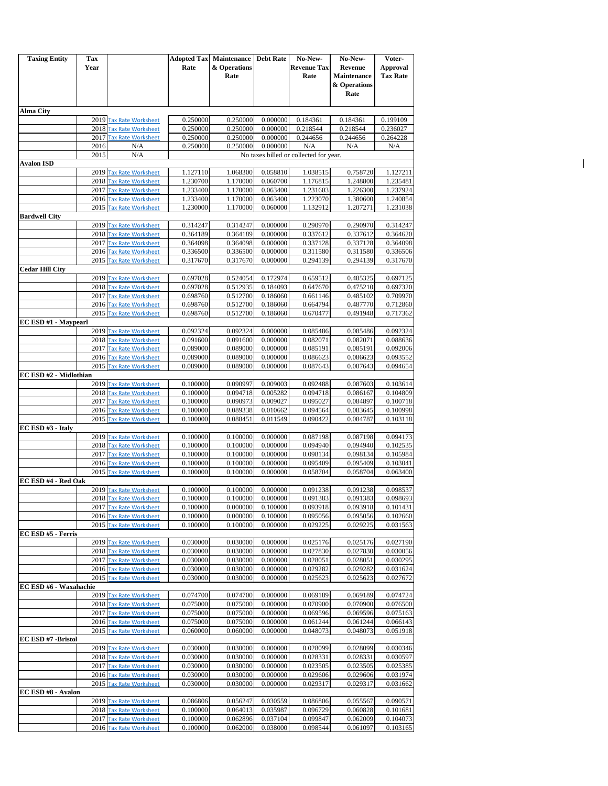| <b>Taxing Entity</b>   | Tax  |                                                      |                      | <b>Adopted Tax Maintenance</b> | <b>Debt Rate</b>     | No-New-                                | No-New-                              | Voter-                             |
|------------------------|------|------------------------------------------------------|----------------------|--------------------------------|----------------------|----------------------------------------|--------------------------------------|------------------------------------|
|                        | Year |                                                      | Rate                 | & Operations<br>Rate           |                      | <b>Revenue Tax</b><br>Rate             | <b>Revenue</b><br><b>Maintenance</b> | <b>Approval</b><br><b>Tax Rate</b> |
|                        |      |                                                      |                      |                                |                      |                                        | & Operations                         |                                    |
|                        |      |                                                      |                      |                                |                      |                                        | Rate                                 |                                    |
| Alma City              |      |                                                      |                      |                                |                      |                                        |                                      |                                    |
|                        |      | 2019 Tax Rate Worksheet                              | 0.250000             | 0.250000                       | 0.000000             | 0.184361                               | 0.184361                             | 0.199109                           |
|                        |      | 2018 Tax Rate Worksheet<br>2017 Tax Rate Worksheet   | 0.250000<br>0.250000 | 0.250000<br>0.250000           | 0.000000<br>0.000000 | 0.218544<br>0.244656                   | 0.218544<br>0.244656                 | 0.236027<br>0.264228               |
|                        | 2016 | N/A                                                  | 0.250000             | 0.250000                       | 0.000000             | N/A                                    | N/A                                  | N/A                                |
|                        | 2015 | N/A                                                  |                      |                                |                      | No taxes billed or collected for year. |                                      |                                    |
| Avalon ISD             |      |                                                      |                      |                                |                      |                                        |                                      |                                    |
|                        | 2019 | <b>Tax Rate Worksheet</b>                            | 1.127110             | 1.068300                       | 0.058810             | 1.038515                               | 0.758720                             | 1.127211                           |
|                        |      | 2018 Tax Rate Worksheet<br>2017 Tax Rate Worksheet   | 1.230700             | 1.170000                       | 0.060700             | 1.176815                               | 1.248800<br>1.226300                 | 1.235481                           |
|                        |      | 2016 Tax Rate Worksheet                              | 1.233400<br>1.233400 | 1.170000<br>1.170000           | 0.063400<br>0.063400 | 1.231603<br>1.223070                   | 1.380600                             | 1.237924<br>1.240854               |
|                        |      | 2015 Tax Rate Worksheet                              | 1.230000             | 1.170000                       | 0.060000             | 1.132912                               | 1.207271                             | 1.231038                           |
| <b>Bardwell City</b>   |      |                                                      |                      |                                |                      |                                        |                                      |                                    |
|                        |      | 2019 Tax Rate Worksheet                              | 0.314247             | 0.314247                       | 0.000000             | 0.290970                               | 0.290970                             | 0.314247                           |
|                        |      | 2018 Tax Rate Worksheet                              | 0.364189             | 0.364189                       | 0.000000             | 0.337612                               | 0.337612                             | 0.364620                           |
|                        |      | 2017 Tax Rate Worksheet<br>2016 Tax Rate Worksheet   | 0.364098<br>0.336500 | 0.364098<br>0.336500           | 0.000000<br>0.000000 | 0.337128<br>0.311580                   | 0.337128<br>0.311580                 | 0.364098<br>0.336506               |
|                        |      | 2015 Tax Rate Worksheet                              | 0.317670             | 0.317670                       | 0.000000             | 0.294139                               | 0.294139                             | 0.317670                           |
| <b>Cedar Hill City</b> |      |                                                      |                      |                                |                      |                                        |                                      |                                    |
|                        |      | 2019 Tax Rate Worksheet                              | 0.697028             | 0.524054                       | 0.172974             | 0.659512                               | 0.485325                             | 0.697125                           |
|                        | 2018 | <b>Tax Rate Worksheet</b>                            | 0.697028             | 0.512935                       | 0.184093             | 0.647670                               | 0.475210                             | 0.697320                           |
|                        | 2017 | <b>Tax Rate Worksheet</b><br>2016 Tax Rate Worksheet | 0.698760<br>0.698760 | 0.512700<br>0.512700           | 0.186060<br>0.186060 | 0.661146<br>0.664794                   | 0.485102<br>0.487770                 | 0.709970<br>0.712860               |
|                        |      | 2015 Tax Rate Worksheet                              | 0.698760             | 0.512700                       | 0.186060             | 0.670477                               | 0.491948                             | 0.717362                           |
| EC ESD #1 - Maypearl   |      |                                                      |                      |                                |                      |                                        |                                      |                                    |
|                        | 2019 | <b>Tax Rate Worksheet</b>                            | 0.092324             | 0.092324                       | 0.000000             | 0.085486                               | 0.085486                             | 0.092324                           |
|                        |      | 2018 Tax Rate Worksheet                              | 0.091600             | 0.091600                       | 0.000000             | 0.082071                               | 0.082071                             | 0.088636                           |
|                        |      | 2017 Tax Rate Worksheet                              | 0.089000             | 0.089000                       | 0.000000             | 0.085191                               | 0.085191                             | 0.092006                           |
|                        |      | 2016 Tax Rate Worksheet<br>2015 Tax Rate Worksheet   | 0.089000<br>0.089000 | 0.089000<br>0.089000           | 0.000000<br>0.000000 | 0.086623<br>0.087643                   | 0.086623<br>0.087643                 | 0.093552<br>0.094654               |
| EC ESD #2 - Midlothian |      |                                                      |                      |                                |                      |                                        |                                      |                                    |
|                        |      | 2019 Tax Rate Worksheet                              | 0.100000             | 0.090997                       | 0.009003             | 0.092488                               | 0.087603                             | 0.103614                           |
|                        | 2018 | <b>Tax Rate Worksheet</b>                            | 0.100000             | 0.094718                       | 0.005282             | 0.094718                               | 0.086167                             | 0.104809                           |
|                        |      | 2017 Tax Rate Worksheet                              | 0.100000             | 0.090973                       | 0.009027             | 0.095027                               | 0.084897                             | 0.100718                           |
|                        |      | 2016 Tax Rate Worksheet<br>2015 Tax Rate Worksheet   | 0.100000<br>0.100000 | 0.089338<br>0.088451           | 0.010662<br>0.011549 | 0.094564<br>0.090422                   | 0.083645<br>0.084787                 | 0.100998<br>0.103118               |
| EC ESD #3 - Italy      |      |                                                      |                      |                                |                      |                                        |                                      |                                    |
|                        | 2019 | <b>Tax Rate Worksheet</b>                            | 0.100000             | 0.100000                       | 0.000000             | 0.087198                               | 0.087198                             | 0.094173                           |
|                        |      | 2018 Tax Rate Worksheet                              | 0.100000             | 0.100000                       | 0.000000             | 0.094940                               | 0.094940                             | 0.102535                           |
|                        |      | 2017 Tax Rate Worksheet                              | 0.100000             | 0.100000                       | 0.000000             | 0.098134                               | 0.098134                             | 0.105984                           |
|                        |      | 2016 Tax Rate Worksheet<br>2015 Tax Rate Worksheet   | 0.100000<br>0.100000 | 0.100000<br>0.100000           | 0.000000<br>0.000000 | 0.095409<br>0.058704                   | 0.095409<br>0.058704                 | 0.103041<br>0.063400               |
| EC ESD #4 - Red Oak    |      |                                                      |                      |                                |                      |                                        |                                      |                                    |
|                        |      | 2019 Tax Rate Worksheet                              | 0.100000             | 0.100000                       | 0.000000             | 0.091238                               | 0.091238                             | 0.098537                           |
|                        |      | 2018 Tax Rate Worksheet                              | 0.100000             | 0.100000                       | 0.000000             | 0.091383                               | 0.091383                             | 0.098693                           |
|                        | 2017 | <b>Tax Rate Worksheet</b>                            | 0.100000             | 0.000000                       | 0.100000             | 0.093918                               | 0.093918                             | 0.101431                           |
|                        |      | 2016 Tax Rate Worksheet                              | 0.100000             | 0.000000                       | 0.100000             | 0.095056                               | 0.095056                             | 0.102660                           |
| EC ESD #5 - Ferris     |      | 2015 Tax Rate Worksheet                              | 0.100000             | 0.100000                       | 0.000000             | 0.029225                               | 0.029225                             | 0.031563                           |
|                        |      | 2019 Tax Rate Worksheet                              | 0.030000             | 0.030000                       | 0.000000             | 0.025176                               | 0.025176                             | 0.027190                           |
|                        |      | 2018 Tax Rate Worksheet                              | 0.030000             | 0.030000                       | 0.000000             | 0.027830                               | 0.027830                             | 0.030056                           |
|                        |      | 2017 Tax Rate Worksheet                              | 0.030000             | 0.030000                       | 0.000000             | 0.028051                               | 0.028051                             | 0.030295                           |
|                        |      | 2016 Tax Rate Worksheet                              | 0.030000             | 0.030000                       | 0.000000             | 0.029282                               | 0.029282                             | 0.031624                           |
| EC ESD #6 - Waxahachie |      | 2015 Tax Rate Worksheet                              | 0.030000             | 0.030000                       | 0.000000             | 0.025623                               | 0.025623                             | 0.027672                           |
|                        |      | 2019 Tax Rate Worksheet                              | 0.074700             | 0.074700                       | 0.000000             | 0.069189                               | 0.069189                             | 0.074724                           |
|                        |      | 2018 Tax Rate Worksheet                              | 0.075000             | 0.075000                       | 0.000000             | 0.070900                               | 0.070900                             | 0.076500                           |
|                        |      | 2017 Tax Rate Worksheet                              | 0.075000             | 0.075000                       | 0.000000             | 0.069596                               | 0.069596                             | 0.075163                           |
|                        |      | 2016 Tax Rate Worksheet                              | 0.075000             | 0.075000                       | 0.000000             | 0.061244                               | 0.061244                             | 0.066143                           |
| EC ESD #7 -Bristol     |      | 2015 Tax Rate Worksheet                              | 0.060000             | 0.060000                       | 0.000000             | 0.048073                               | 0.048073                             | 0.051918                           |
|                        | 2019 | <b>Tax Rate Worksheet</b>                            | 0.030000             | 0.030000                       | 0.000000             | 0.028099                               | 0.028099                             | 0.030346                           |
|                        |      | 2018 Tax Rate Worksheet                              | 0.030000             | 0.030000                       | 0.000000             | 0.028331                               | 0.028331                             | 0.030597                           |
|                        |      | 2017 Tax Rate Worksheet                              | 0.030000             | 0.030000                       | 0.000000             | 0.023505                               | 0.023505                             | 0.025385                           |
|                        |      | 2016 Tax Rate Worksheet                              | 0.030000             | 0.030000                       | 0.000000             | 0.029606                               | 0.029606                             | 0.031974                           |
|                        |      | 2015 Tax Rate Worksheet                              | 0.030000             | 0.030000                       | 0.000000             | 0.029317                               | 0.029317                             | 0.031662                           |
| EC ESD #8 - Avalon     |      | 2019 Tax Rate Worksheet                              | 0.086806             | 0.056247                       | 0.030559             | 0.086806                               | 0.055567                             | 0.090571                           |
|                        |      | 2018 Tax Rate Worksheet                              | 0.100000             | 0.064013                       | 0.035987             | 0.096729                               | 0.060828                             | 0.101681                           |
|                        | 2017 | <b>Tax Rate Worksheet</b>                            | 0.100000             | 0.062896                       | 0.037104             | 0.099847                               | 0.062009                             | 0.104073                           |
|                        |      | 2016 Tax Rate Worksheet                              | 0.100000             | 0.062000                       | 0.038000             | 0.098544                               | 0.061097                             | 0.103165                           |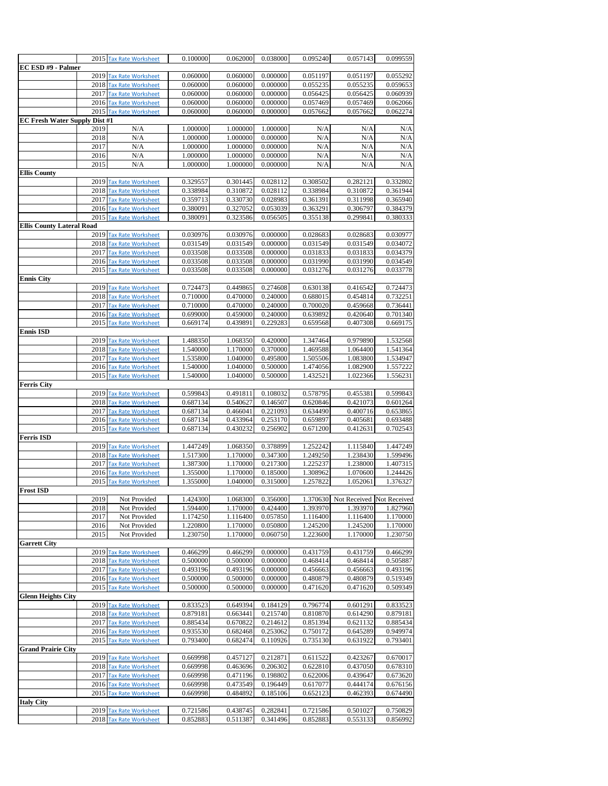|                                      |      | 2015 Tax Rate Worksheet                            | 0.100000             | 0.062000             | 0.038000             | 0.095240             | 0.057143                           | 0.099559             |
|--------------------------------------|------|----------------------------------------------------|----------------------|----------------------|----------------------|----------------------|------------------------------------|----------------------|
| EC ESD #9 - Palmer                   |      |                                                    |                      |                      |                      |                      |                                    |                      |
|                                      |      | 2019 Tax Rate Worksheet                            | 0.060000             | 0.060000             | 0.000000             | 0.051197             | 0.051197                           | 0.055292             |
|                                      |      | 2018 Tax Rate Worksheet                            | 0.060000             | 0.060000             | 0.000000             | 0.055235             | 0.055235                           | 0.059653             |
|                                      |      | 2017 Tax Rate Worksheet                            | 0.060000             | 0.060000             | 0.000000             | 0.056425             | 0.056425                           | 0.060939             |
|                                      |      | 2016 Tax Rate Worksheet<br>2015 Tax Rate Worksheet | 0.060000<br>0.060000 | 0.060000<br>0.060000 | 0.000000<br>0.000000 | 0.057469<br>0.057662 | 0.057469<br>0.057662               | 0.062066<br>0.062274 |
| <b>EC Fresh Water Supply Dist #1</b> |      |                                                    |                      |                      |                      |                      |                                    |                      |
|                                      | 2019 | N/A                                                | 1.000000             | 1.000000             | 1.000000             | N/A                  | N/A                                | N/A                  |
|                                      | 2018 | N/A                                                | 1.000000             | 1.000000             | 0.000000             | N/A                  | N/A                                | N/A                  |
|                                      | 2017 | N/A                                                | 1.000000             | 1.000000             | 0.000000             | N/A                  | N/A                                | N/A                  |
|                                      | 2016 | N/A                                                | 1.000000             | 1.000000             | 0.000000             | N/A                  | N/A                                | N/A                  |
|                                      | 2015 | N/A                                                | 1.000000             | 1.000000             | 0.000000             | N/A                  | N/A                                | N/A                  |
| <b>Ellis County</b>                  |      |                                                    |                      |                      |                      |                      |                                    |                      |
|                                      |      | 2019 Tax Rate Worksheet                            | 0.329557             | 0.301445             | 0.028112             | 0.308502             | 0.282121                           | 0.332802             |
|                                      |      | 2018 Tax Rate Worksheet<br>2017 Tax Rate Worksheet | 0.338984<br>0.359713 | 0.310872<br>0.330730 | 0.028112<br>0.028983 | 0.338984<br>0.361391 | 0.310872<br>0.311998               | 0.361944<br>0.365940 |
|                                      |      | 2016 Tax Rate Worksheet                            | 0.380091             | 0.327052             | 0.053039             | 0.363291             | 0.306797                           | 0.384379             |
|                                      |      | 2015 Tax Rate Worksheet                            | 0.380091             | 0.323586             | 0.056505             | 0.355138             | 0.299841                           | 0.380333             |
| <b>Ellis County Lateral Road</b>     |      |                                                    |                      |                      |                      |                      |                                    |                      |
|                                      |      | 2019 Tax Rate Worksheet                            | 0.030976             | 0.030976             | 0.000000             | 0.028683             | 0.028683                           | 0.030977             |
|                                      |      | 2018 Tax Rate Worksheet                            | 0.031549             | 0.031549             | 0.000000             | 0.031549             | 0.031549                           | 0.034072             |
|                                      |      | 2017 Tax Rate Worksheet                            | 0.033508             | 0.033508             | 0.000000             | 0.031833             | 0.031833                           | 0.034379             |
|                                      |      | 2016 Tax Rate Worksheet                            | 0.033508             | 0.033508             | 0.000000             | 0.031990             | 0.031990                           | 0.034549             |
|                                      |      | 2015 Tax Rate Worksheet                            | 0.033508             | 0.033508             | 0.000000             | 0.031276             | 0.031276                           | 0.033778             |
| <b>Ennis City</b>                    |      | 2019 Tax Rate Worksheet                            | 0.724473             | 0.449865             | 0.274608             | 0.630138             | 0.416542                           | 0.724473             |
|                                      |      | 2018 Tax Rate Worksheet                            | 0.710000             | 0.470000             | 0.240000             | 0.688015             | 0.454814                           | 0.732251             |
|                                      |      | 2017 Tax Rate Worksheet                            | 0.710000             | 0.470000             | 0.240000             | 0.700020             | 0.459668                           | 0.736441             |
|                                      |      | 2016 Tax Rate Worksheet                            | 0.699000             | 0.459000             | 0.240000             | 0.639892             | 0.420640                           | 0.701340             |
|                                      |      | 2015 Tax Rate Worksheet                            | 0.669174             | 0.439891             | 0.229283             | 0.659568             | 0.407308                           | 0.669175             |
| <b>Ennis ISD</b>                     |      |                                                    |                      |                      |                      |                      |                                    |                      |
|                                      |      | 2019 Tax Rate Worksheet                            | 1.488350             | 1.068350             | 0.420000             | 1.347464             | 0.979890                           | 1.532568             |
|                                      |      | 2018 Tax Rate Worksheet<br>2017 Tax Rate Worksheet | 1.540000<br>1.535800 | 1.170000<br>1.040000 | 0.370000<br>0.495800 | 1.469588<br>1.505506 | 1.064400<br>1.083800               | 1.541364<br>1.534947 |
|                                      |      | 2016 Tax Rate Worksheet                            | 1.540000             | 1.040000             | 0.500000             | 1.474056             | 1.082900                           | 1.557222             |
|                                      |      | 2015 Tax Rate Worksheet                            | 1.540000             | 1.040000             | 0.500000             | 1.432521             | 1.022366                           | 1.556231             |
| <b>Ferris City</b>                   |      |                                                    |                      |                      |                      |                      |                                    |                      |
|                                      |      | 2019 Tax Rate Worksheet                            | 0.599843             | 0.491811             | 0.108032             | 0.578795             | 0.455381                           | 0.599843             |
|                                      |      | 2018 Tax Rate Worksheet                            | 0.687134             | 0.540627             | 0.146507             | 0.620846             | 0.421073                           | 0.601264             |
|                                      |      | 2017 Tax Rate Worksheet                            | 0.687134             | 0.466041             | 0.221093             | 0.634490             | 0.400716                           | 0.653865             |
|                                      |      | 2016 Tax Rate Worksheet<br>2015 Tax Rate Worksheet | 0.687134<br>0.687134 | 0.433964<br>0.430232 | 0.253170<br>0.256902 | 0.659897<br>0.671200 | 0.405681<br>0.412631               | 0.693488<br>0.702543 |
| <b>Ferris ISD</b>                    |      |                                                    |                      |                      |                      |                      |                                    |                      |
|                                      |      | 2019 Tax Rate Worksheet                            | 1.447249             | 1.068350             | 0.378899             | 1.252242             | 1.115840                           | 1.447249             |
|                                      |      | 2018 Tax Rate Worksheet                            | 1.517300             | 1.170000             | 0.347300             | 1.249250             | 1.238430                           | 1.599496             |
|                                      |      | 2017 Tax Rate Worksheet                            | 1.387300             | 1.170000             | 0.217300             | 1.225237             | 1.238000                           | 1.407315             |
|                                      |      | 2016 Tax Rate Worksheet                            | 1.355000             | 1.170000             | 0.185000             | 1.308962             | 1.070600                           | 1.244426             |
|                                      |      | 2015 Tax Rate Worksheet                            | 1.355000             | 1.040000             | 0.315000             | 1.257822             | 1.052061                           | 1.376327             |
| <b>Frost ISD</b>                     | 2019 | Not Provided                                       | 1.424300             |                      | 1.068300  0.356000   |                      | 1.370630 Not Received Not Received |                      |
|                                      | 2018 | Not Provided                                       | 1.594400             | 1.170000             | 0.424400             | 1.393970             | 1.393970                           | 1.827960             |
|                                      | 2017 | Not Provided                                       | 1.174250             | 1.116400             | 0.057850             | 1.116400             | 1.116400                           | 1.170000             |
|                                      | 2016 | Not Provided                                       | 1.220800             | 1.170000             | 0.050800             | 1.245200             | 1.245200                           | 1.170000             |
|                                      | 2015 | Not Provided                                       | 1.230750             | 1.170000             | 0.060750             | 1.223600             | 1.170000                           | 1.230750             |
| <b>Garrett City</b>                  |      |                                                    |                      |                      |                      |                      |                                    |                      |
|                                      |      | 2019 Tax Rate Worksheet                            | 0.466299             | 0.466299             | 0.000000<br>0.000000 | 0.431759             | 0.431759<br>0.468414               | 0.466299             |
|                                      |      | 2018 Tax Rate Worksheet<br>2017 Tax Rate Worksheet | 0.500000<br>0.493196 | 0.500000<br>0.493196 | 0.000000             | 0.468414<br>0.456663 | 0.456663                           | 0.505887<br>0.493196 |
|                                      |      | 2016 Tax Rate Worksheet                            | 0.500000             | 0.500000             | 0.000000             | 0.480879             | 0.480879                           | 0.519349             |
|                                      |      | 2015 Tax Rate Worksheet                            | 0.500000             | 0.500000             | 0.000000             | 0.471620             | 0.471620                           | 0.509349             |
| <b>Glenn Heights City</b>            |      |                                                    |                      |                      |                      |                      |                                    |                      |
|                                      |      | 2019 Tax Rate Worksheet                            | 0.833523             | 0.649394             | 0.184129             | 0.796774             | 0.601291                           | 0.833523             |
|                                      |      | 2018 Tax Rate Worksheet                            | 0.879181             | 0.663441             | 0.215740             | 0.810870             | 0.614290                           | 0.879181             |
|                                      |      | 2017 Tax Rate Worksheet                            | 0.885434             | 0.670822             | 0.214612             | 0.851394             | 0.621132                           | 0.885434             |
|                                      |      | 2016 Tax Rate Worksheet<br>2015 Tax Rate Worksheet | 0.935530             | 0.682468             | 0.253062             | 0.750172             | 0.645289                           | 0.949974<br>0.793401 |
| <b>Grand Prairie City</b>            |      |                                                    | 0.793400             | 0.682474             | 0.110926             | 0.735130             | 0.631922                           |                      |
|                                      |      | 2019 Tax Rate Worksheet                            | 0.669998             | 0.457127             | 0.212871             | 0.611522             | 0.423267                           | 0.670017             |
|                                      |      | 2018 Tax Rate Worksheet                            | 0.669998             | 0.463696             | 0.206302             | 0.622810             | 0.437050                           | 0.678310             |
|                                      |      | 2017 Tax Rate Worksheet                            | 0.669998             | 0.471196             | 0.198802             | 0.622006             | 0.439647                           | 0.673620             |
|                                      |      | 2016 Tax Rate Worksheet                            | 0.669998             | 0.473549             | 0.196449             | 0.617077             | 0.444174                           | 0.676156             |
|                                      |      | 2015 Tax Rate Worksheet                            | 0.669998             | 0.484892             | 0.185106             | 0.652123             | 0.462393                           | 0.674490             |
| <b>Italy City</b>                    |      | 2019 Tax Rate Worksheet                            | 0.721586             | 0.438745             | 0.282841             | 0.721586             | 0.501027                           | 0.750829             |
|                                      |      | 2018 Tax Rate Worksheet                            | 0.852883             | 0.511387             | 0.341496             | 0.852883             | 0.553133                           | 0.856992             |
|                                      |      |                                                    |                      |                      |                      |                      |                                    |                      |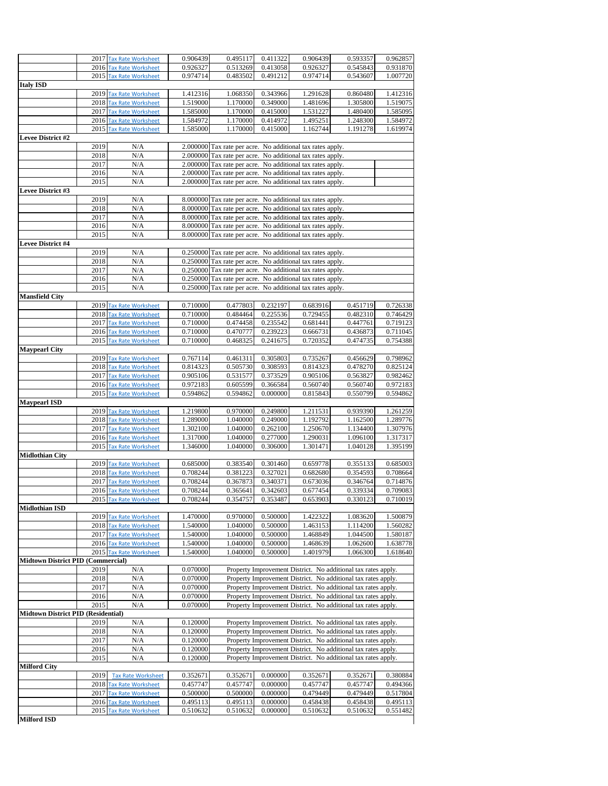|                                           |      | 2017 Tax Rate Worksheet                            | 0.906439 | 0.495117 | 0.411322 | 0.906439                                                      | 0.593357 | 0.962857                                                             |
|-------------------------------------------|------|----------------------------------------------------|----------|----------|----------|---------------------------------------------------------------|----------|----------------------------------------------------------------------|
|                                           |      | 2016 Tax Rate Worksheet                            | 0.926327 | 0.513269 | 0.413058 | 0.926327                                                      | 0.545843 | 0.931870                                                             |
|                                           |      | 2015 Tax Rate Worksheet                            | 0.974714 | 0.483502 | 0.491212 | 0.974714                                                      | 0.543607 | 1.007720                                                             |
| <b>Italy ISD</b>                          |      |                                                    |          |          |          |                                                               |          |                                                                      |
|                                           |      | 2019 Tax Rate Worksheet                            | 1.412316 | 1.068350 | 0.343966 | 1.291628                                                      | 0.860480 | 1.412316                                                             |
|                                           |      | 2018 Tax Rate Worksheet                            | 1.519000 | 1.170000 | 0.349000 | 1.481696                                                      | 1.305800 | 1.519075                                                             |
|                                           |      | 2017 Tax Rate Worksheet                            | 1.585000 | 1.170000 | 0.415000 | 1.531227                                                      | 1.480400 | 1.585095                                                             |
|                                           |      | 2016 Tax Rate Worksheet                            | 1.584972 | 1.170000 | 0.414972 | 1.495251                                                      | 1.248300 | 1.584972                                                             |
|                                           |      | 2015 Tax Rate Worksheet                            | 1.585000 | 1.170000 | 0.415000 | 1.162744                                                      | 1.191278 | 1.619974                                                             |
| <b>Levee District #2</b>                  |      |                                                    |          |          |          |                                                               |          |                                                                      |
|                                           | 2019 | N/A                                                |          |          |          |                                                               |          |                                                                      |
|                                           |      |                                                    |          |          |          | 2.000000 Tax rate per acre. No additional tax rates apply.    |          |                                                                      |
|                                           | 2018 | N/A                                                |          |          |          | 2.000000 Tax rate per acre. No additional tax rates apply.    |          |                                                                      |
|                                           | 2017 | N/A                                                |          |          |          | 2.000000 Tax rate per acre. No additional tax rates apply.    |          |                                                                      |
|                                           | 2016 | N/A                                                |          |          |          | 2.000000 Tax rate per acre. No additional tax rates apply.    |          |                                                                      |
|                                           | 2015 | N/A                                                |          |          |          | 2.000000 Tax rate per acre. No additional tax rates apply.    |          |                                                                      |
| <b>Levee District #3</b>                  |      |                                                    |          |          |          |                                                               |          |                                                                      |
|                                           | 2019 | N/A                                                |          |          |          | 8.000000 Tax rate per acre. No additional tax rates apply.    |          |                                                                      |
|                                           | 2018 | N/A                                                |          |          |          | 8.000000 Tax rate per acre. No additional tax rates apply.    |          |                                                                      |
|                                           | 2017 | N/A                                                |          |          |          | 8.000000 Tax rate per acre. No additional tax rates apply.    |          |                                                                      |
|                                           | 2016 | N/A                                                |          |          |          | 8.000000 Tax rate per acre. No additional tax rates apply.    |          |                                                                      |
|                                           | 2015 | N/A                                                |          |          |          | 8.000000 Tax rate per acre. No additional tax rates apply.    |          |                                                                      |
| <b>Levee District #4</b>                  |      |                                                    |          |          |          |                                                               |          |                                                                      |
|                                           | 2019 | N/A                                                |          |          |          | 0.250000 Tax rate per acre. No additional tax rates apply.    |          |                                                                      |
|                                           | 2018 | N/A                                                |          |          |          | 0.250000 Tax rate per acre. No additional tax rates apply.    |          |                                                                      |
|                                           | 2017 | N/A                                                |          |          |          | 0.250000 Tax rate per acre. No additional tax rates apply.    |          |                                                                      |
|                                           | 2016 | N/A                                                |          |          |          | 0.250000 Tax rate per acre. No additional tax rates apply.    |          |                                                                      |
|                                           | 2015 | N/A                                                |          |          |          | 0.250000 Tax rate per acre. No additional tax rates apply.    |          |                                                                      |
| <b>Mansfield City</b>                     |      |                                                    |          |          |          |                                                               |          |                                                                      |
|                                           |      | 2019 Tax Rate Worksheet                            | 0.710000 | 0.477803 | 0.232197 | 0.683916                                                      | 0.451719 | 0.726338                                                             |
|                                           |      | 2018 Tax Rate Worksheet                            | 0.710000 | 0.484464 | 0.225536 | 0.729455                                                      | 0.482310 | 0.746429                                                             |
|                                           |      | 2017 Tax Rate Worksheet                            | 0.710000 | 0.474458 | 0.235542 | 0.681441                                                      | 0.447761 | 0.719123                                                             |
|                                           |      | 2016 Tax Rate Worksheet                            | 0.710000 | 0.470777 | 0.239223 | 0.666731                                                      | 0.436873 | 0.711045                                                             |
|                                           |      | 2015 Tax Rate Worksheet                            | 0.710000 | 0.468325 | 0.241675 | 0.720352                                                      | 0.474735 | 0.754388                                                             |
| <b>Maypearl City</b>                      |      |                                                    |          |          |          |                                                               |          |                                                                      |
|                                           |      | 2019 Tax Rate Worksheet                            | 0.767114 | 0.461311 | 0.305803 | 0.735267                                                      | 0.456629 | 0.798962                                                             |
|                                           |      | 2018 Tax Rate Worksheet                            | 0.814323 | 0.505730 | 0.308593 | 0.814323                                                      | 0.478270 | 0.825124                                                             |
|                                           |      | 2017 Tax Rate Worksheet                            | 0.905106 | 0.531577 | 0.373529 | 0.905106                                                      | 0.563827 | 0.982462                                                             |
|                                           |      | 2016 Tax Rate Worksheet                            | 0.972183 | 0.605599 | 0.366584 | 0.560740                                                      | 0.560740 | 0.972183                                                             |
|                                           |      | 2015 Tax Rate Worksheet                            | 0.594862 | 0.594862 | 0.000000 | 0.815843                                                      | 0.550799 | 0.594862                                                             |
| <b>Maypearl ISD</b>                       |      |                                                    |          |          |          |                                                               |          |                                                                      |
|                                           |      | 2019 Tax Rate Worksheet                            | 1.219800 | 0.970000 | 0.249800 | 1.211531                                                      | 0.939390 | 1.261259                                                             |
|                                           |      | 2018 Tax Rate Worksheet                            | 1.289000 | 1.040000 | 0.249000 | 1.192792                                                      | 1.162500 | 1.289776                                                             |
|                                           |      | 2017 Tax Rate Worksheet                            | 1.302100 | 1.040000 | 0.262100 | 1.250670                                                      | 1.134400 | 1.307976                                                             |
|                                           |      | 2016 Tax Rate Worksheet                            | 1.317000 | 1.040000 | 0.277000 | 1.290031                                                      | 1.096100 | 1.317317                                                             |
|                                           |      | 2015 Tax Rate Worksheet                            | 1.346000 | 1.040000 | 0.306000 | 1.301471                                                      | 1.040128 | 1.395199                                                             |
| <b>Midlothian City</b>                    |      |                                                    |          |          |          |                                                               |          |                                                                      |
|                                           |      | 2019 Tax Rate Worksheet                            | 0.685000 | 0.383540 | 0.301460 | 0.659778                                                      | 0.355133 | 0.685003                                                             |
|                                           |      | 2018 Tax Rate Worksheet                            | 0.708244 | 0.381223 | 0.327021 | 0.682680                                                      | 0.354593 | 0.708664                                                             |
|                                           |      | 2017 Tax Rate Worksheet                            | 0.708244 | 0.367873 | 0.340371 | 0.673036                                                      | 0.346764 | 0.714876                                                             |
|                                           |      | 2016 Tax Rate Worksheet                            | 0.708244 | 0.365641 | 0.342603 | 0.677454                                                      | 0.339334 | 0.709083                                                             |
|                                           |      | 2015 Tax Rate Worksheet                            | 0.708244 | 0.354757 | 0.353487 | 0.653903                                                      | 0.330123 | 0.710019                                                             |
| <b>Midlothian ISD</b>                     |      |                                                    |          |          |          |                                                               |          |                                                                      |
|                                           |      | 2019 Tax Rate Worksheet                            | 1.470000 | 0.970000 | 0.500000 | 1.422322                                                      | 1.083620 | 1.500879                                                             |
|                                           |      | 2018 Tax Rate Worksheet                            | 1.540000 |          |          | 1.463153                                                      | 1.114200 | 1.560282                                                             |
|                                           |      |                                                    |          | 1.040000 | 0.500000 |                                                               |          |                                                                      |
|                                           |      | 2017 Tax Rate Worksheet                            | 1.540000 | 1.040000 | 0.500000 | 1.468849                                                      | 1.044500 |                                                                      |
|                                           |      | 2016 Tax Rate Worksheet                            | 1.540000 | 1.040000 | 0.500000 | 1.468639                                                      | 1.062600 |                                                                      |
|                                           |      | 2015 Tax Rate Worksheet                            | 1.540000 | 1.040000 | 0.500000 | 1.401979                                                      | 1.066300 |                                                                      |
| <b>Midtown District PID (Commercial)</b>  |      |                                                    |          |          |          |                                                               |          |                                                                      |
|                                           | 2019 | N/A                                                | 0.070000 |          |          | Property Improvement District. No additional tax rates apply. |          |                                                                      |
|                                           | 2018 | N/A                                                | 0.070000 |          |          | Property Improvement District. No additional tax rates apply. |          |                                                                      |
|                                           | 2017 | N/A                                                | 0.070000 |          |          | Property Improvement District. No additional tax rates apply. |          |                                                                      |
|                                           | 2016 | N/A                                                | 0.070000 |          |          | Property Improvement District. No additional tax rates apply. |          |                                                                      |
|                                           | 2015 | N/A                                                | 0.070000 |          |          | Property Improvement District. No additional tax rates apply. |          |                                                                      |
| <b>Midtown District PID (Residential)</b> |      |                                                    |          |          |          |                                                               |          |                                                                      |
|                                           | 2019 | N/A                                                | 0.120000 |          |          | Property Improvement District. No additional tax rates apply. |          |                                                                      |
|                                           | 2018 | N/A                                                | 0.120000 |          |          | Property Improvement District. No additional tax rates apply. |          |                                                                      |
|                                           | 2017 | N/A                                                | 0.120000 |          |          | Property Improvement District. No additional tax rates apply. |          |                                                                      |
|                                           | 2016 | N/A                                                | 0.120000 |          |          | Property Improvement District. No additional tax rates apply. |          |                                                                      |
|                                           | 2015 | N/A                                                | 0.120000 |          |          | Property Improvement District. No additional tax rates apply. |          |                                                                      |
| <b>Milford City</b>                       |      |                                                    |          |          |          |                                                               |          |                                                                      |
|                                           | 2019 | <b>Tax Rate Worksheet</b>                          | 0.352671 | 0.352671 | 0.000000 | 0.352671                                                      | 0.352671 |                                                                      |
|                                           |      | 2018 Tax Rate Worksheet                            | 0.457747 | 0.457747 | 0.000000 | 0.457747                                                      | 0.457747 |                                                                      |
|                                           |      | 2017 Tax Rate Worksheet                            | 0.500000 | 0.500000 | 0.000000 | 0.479449                                                      | 0.479449 | 1.580187<br>1.638778<br>1.618640<br>0.380884<br>0.494366<br>0.517804 |
|                                           |      | 2016 Tax Rate Worksheet<br>2015 Tax Rate Worksheet | 0.495113 | 0.495113 | 0.000000 | 0.458438                                                      | 0.458438 | 0.495113                                                             |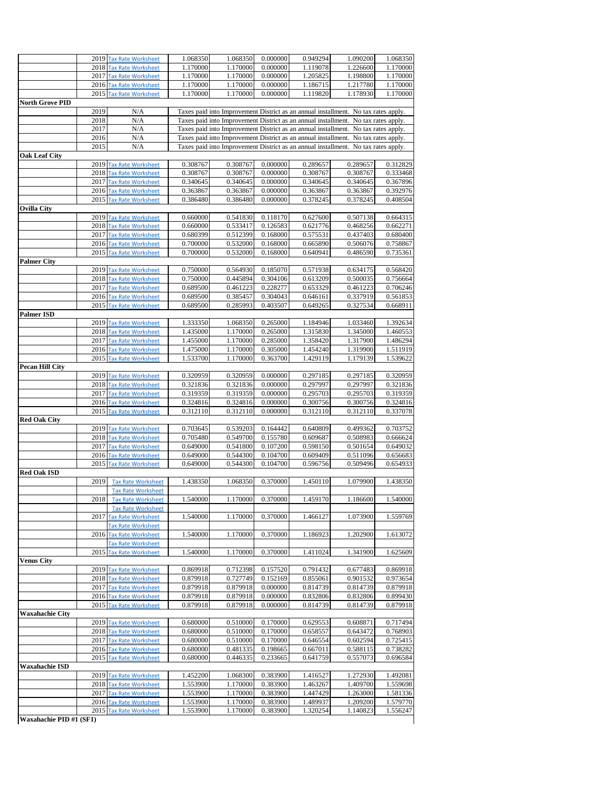|                            |      | 2019 Tax Rate Worksheet   | 1.068350 | 1.068350 | 0.000000 | 0.949294 | 1.090200                                                                           | 1.068350 |
|----------------------------|------|---------------------------|----------|----------|----------|----------|------------------------------------------------------------------------------------|----------|
|                            | 2018 | <b>Tax Rate Worksheet</b> | 1.170000 | 1.170000 | 0.000000 | 1.119078 | 1.226600                                                                           | 1.170000 |
|                            |      | 2017 Tax Rate Worksheet   | 1.170000 | 1.170000 | 0.000000 | 1.205825 | 1.198800                                                                           | 1.170000 |
|                            |      |                           |          |          |          |          |                                                                                    |          |
|                            |      | 2016 Tax Rate Worksheet   | 1.170000 | 1.170000 | 0.000000 | 1.186715 | 1.217780                                                                           | 1.170000 |
|                            |      | 2015 Tax Rate Worksheet   | 1.170000 | 1.170000 | 0.000000 | 1.119820 | 1.178930                                                                           | 1.170000 |
| <b>North Grove PID</b>     |      |                           |          |          |          |          |                                                                                    |          |
|                            | 2019 | N/A                       |          |          |          |          | Taxes paid into Improvement District as an annual installment. No tax rates apply. |          |
|                            |      |                           |          |          |          |          |                                                                                    |          |
|                            | 2018 | N/A                       |          |          |          |          | Taxes paid into Improvement District as an annual installment. No tax rates apply. |          |
|                            | 2017 | N/A                       |          |          |          |          | Taxes paid into Improvement District as an annual installment. No tax rates apply. |          |
|                            | 2016 | N/A                       |          |          |          |          | Taxes paid into Improvement District as an annual installment. No tax rates apply. |          |
|                            |      |                           |          |          |          |          |                                                                                    |          |
|                            | 2015 | N/A                       |          |          |          |          | Taxes paid into Improvement District as an annual installment. No tax rates apply. |          |
| <b>Oak Leaf City</b>       |      |                           |          |          |          |          |                                                                                    |          |
|                            | 2019 | <b>Tax Rate Worksheet</b> | 0.308767 | 0.308767 | 0.000000 | 0.289657 | 0.289657                                                                           | 0.312829 |
|                            | 2018 | <b>Tax Rate Worksheet</b> | 0.308767 | 0.308767 | 0.000000 | 0.308767 | 0.308767                                                                           | 0.333468 |
|                            |      |                           |          |          |          |          |                                                                                    |          |
|                            | 2017 | <b>Tax Rate Worksheet</b> | 0.340645 | 0.340645 | 0.000000 | 0.340645 | 0.340645                                                                           | 0.367896 |
|                            | 2016 | <b>Tax Rate Worksheet</b> | 0.363867 | 0.363867 | 0.000000 | 0.363867 | 0.363867                                                                           | 0.392976 |
|                            | 2015 | <b>Tax Rate Worksheet</b> | 0.386480 | 0.386480 | 0.000000 | 0.378245 | 0.378245                                                                           | 0.408504 |
| <b>Ovilla City</b>         |      |                           |          |          |          |          |                                                                                    |          |
|                            |      |                           |          |          |          |          |                                                                                    |          |
|                            | 2019 | <b>Tax Rate Worksheet</b> | 0.660000 | 0.541830 | 0.118170 | 0.627600 | 0.507138                                                                           | 0.664315 |
|                            | 2018 | <b>Tax Rate Worksheet</b> | 0.660000 | 0.533417 | 0.126583 | 0.621776 | 0.468256                                                                           | 0.662271 |
|                            |      | 2017 Tax Rate Worksheet   | 0.680399 | 0.512399 | 0.168000 | 0.575531 | 0.437403                                                                           | 0.680400 |
|                            |      |                           |          |          |          |          |                                                                                    |          |
|                            | 2016 | <b>Tax Rate Worksheet</b> | 0.700000 | 0.532000 | 0.168000 | 0.665890 | 0.506076                                                                           | 0.758867 |
|                            | 2015 | <b>Tax Rate Worksheet</b> | 0.700000 | 0.532000 | 0.168000 | 0.640941 | 0.486590                                                                           | 0.735361 |
| Palmer City                |      |                           |          |          |          |          |                                                                                    |          |
|                            | 2019 | <b>Tax Rate Worksheet</b> | 0.750000 | 0.564930 | 0.185070 | 0.571938 | 0.634175                                                                           | 0.568420 |
|                            |      |                           |          |          |          |          |                                                                                    |          |
|                            |      | 2018 Tax Rate Worksheet   | 0.750000 | 0.445894 | 0.304106 | 0.613209 | 0.500035                                                                           | 0.756664 |
|                            |      | 2017 Tax Rate Worksheet   | 0.689500 | 0.461223 | 0.228277 | 0.653329 | 0.461223                                                                           | 0.706246 |
|                            |      | 2016 Tax Rate Worksheet   | 0.689500 | 0.385457 | 0.304043 | 0.646161 | 0.337919                                                                           | 0.561853 |
|                            | 2015 | <b>Tax Rate Worksheet</b> | 0.689500 | 0.285993 | 0.403507 | 0.649265 | 0.327534                                                                           | 0.668911 |
|                            |      |                           |          |          |          |          |                                                                                    |          |
| <b>Palmer ISD</b>          |      |                           |          |          |          |          |                                                                                    |          |
|                            | 2019 | <b>Tax Rate Worksheet</b> | 1.333350 | 1.068350 | 0.265000 | 1.184946 | 1.033460                                                                           | 1.392634 |
|                            |      | 2018 Tax Rate Worksheet   | 1.435000 | 1.170000 | 0.265000 | 1.315830 | 1.345000                                                                           | 1.460553 |
|                            |      |                           |          |          | 0.285000 |          |                                                                                    |          |
|                            | 2017 | <b>Tax Rate Worksheet</b> | 1.455000 | 1.170000 |          | 1.358420 | 1.317900                                                                           | 1.486294 |
|                            |      | 2016 Tax Rate Worksheet   | 1.475000 | 1.170000 | 0.305000 | 1.454240 | 1.319900                                                                           | 1.511919 |
|                            | 2015 | <b>Tax Rate Worksheet</b> | 1.533700 | 1.170000 | 0.363700 | 1.429119 | 1.179139                                                                           | 1.539622 |
| <b>Pecan Hill City</b>     |      |                           |          |          |          |          |                                                                                    |          |
|                            |      |                           |          |          |          |          |                                                                                    |          |
|                            | 2019 | <b>Tax Rate Worksheet</b> | 0.320959 | 0.320959 | 0.000000 | 0.297185 | 0.297185                                                                           | 0.320959 |
|                            |      | 2018 Tax Rate Worksheet   | 0.321836 | 0.321836 | 0.000000 | 0.297997 | 0.297997                                                                           | 0.321836 |
|                            | 2017 | <b>Tax Rate Worksheet</b> | 0.319359 | 0.319359 | 0.000000 | 0.295703 | 0.295703                                                                           | 0.319359 |
|                            |      | 2016 Tax Rate Worksheet   | 0.324816 | 0.324816 | 0.000000 | 0.300756 | 0.300756                                                                           | 0.324816 |
|                            |      |                           |          |          |          |          |                                                                                    |          |
|                            |      | 2015 Tax Rate Worksheet   | 0.312110 | 0.312110 | 0.000000 | 0.312110 | 0.312110                                                                           | 0.337078 |
| <b>Red Oak City</b>        |      |                           |          |          |          |          |                                                                                    |          |
|                            | 2019 | <b>Tax Rate Worksheet</b> | 0.703645 | 0.539203 | 0.164442 | 0.640809 | 0.499362                                                                           | 0.703752 |
|                            |      | 2018 Tax Rate Worksheet   | 0.705480 | 0.549700 | 0.155780 | 0.609687 | 0.508983                                                                           | 0.666624 |
|                            |      |                           |          | 0.541800 |          |          |                                                                                    |          |
|                            |      | 2017 Tax Rate Worksheet   | 0.649000 |          | 0.107200 | 0.598150 | 0.501654                                                                           | 0.649032 |
|                            |      | 2016 Tax Rate Worksheet   | 0.649000 | 0.544300 | 0.104700 | 0.609409 | 0.511096                                                                           | 0.656683 |
|                            | 2015 | <b>Tax Rate Worksheet</b> | 0.649000 | 0.544300 | 0.104700 | 0.596756 | 0.509496                                                                           | 0.654933 |
| <b>Red Oak ISD</b>         |      |                           |          |          |          |          |                                                                                    |          |
|                            |      |                           | 1.438350 |          | 0.370000 |          | 1.079900                                                                           |          |
|                            | 2019 | <b>Tax Rate Worksheet</b> |          | 1.068350 |          | 1.450110 |                                                                                    | 1.438350 |
|                            |      | <b>Tax Rate Worksheet</b> |          |          |          |          |                                                                                    |          |
|                            | 2018 | <b>Tax Rate Worksheet</b> | 1.540000 | 1.170000 | 0.370000 | 1.459170 | 1.186600                                                                           | 1.540000 |
|                            |      | <b>Tax Rate Worksheet</b> |          |          |          |          |                                                                                    |          |
|                            | 2017 |                           | 1.540000 | 1.170000 | 0.370000 | 1.466127 | 1.073900                                                                           | 1.559769 |
|                            |      | <b>Tax Rate Worksheet</b> |          |          |          |          |                                                                                    |          |
|                            |      | <b>Tax Rate Worksheet</b> |          |          |          |          |                                                                                    |          |
|                            | 2016 | <b>Tax Rate Worksheet</b> | 1.540000 | 1.170000 | 0.370000 | 1.186923 | 1.202900                                                                           | 1.613072 |
|                            |      | <b>Tax Rate Worksheet</b> |          |          |          |          |                                                                                    |          |
|                            | 2015 | <b>Tax Rate Worksheet</b> | 1.540000 | 1.170000 | 0.370000 | 1.411024 | 1.341900                                                                           | 1.625609 |
|                            |      |                           |          |          |          |          |                                                                                    |          |
| <b>Venus City</b>          |      |                           |          |          |          |          |                                                                                    |          |
|                            |      | 2019 Tax Rate Worksheet   | 0.869918 | 0.712398 | 0.157520 | 0.791432 | 0.677483                                                                           | 0.869918 |
|                            | 2018 | <b>Tax Rate Worksheet</b> | 0.879918 | 0.727749 | 0.152169 | 0.855061 | 0.901532                                                                           | 0.973654 |
|                            | 2017 | <b>Tax Rate Worksheet</b> | 0.879918 | 0.879918 | 0.000000 | 0.814739 | 0.814739                                                                           | 0.879918 |
|                            |      |                           |          |          |          |          |                                                                                    |          |
|                            | 2016 | <b>Tax Rate Worksheet</b> | 0.879918 | 0.879918 | 0.000000 | 0.832806 | 0.832806                                                                           | 0.899430 |
|                            | 2015 | <b>Tax Rate Worksheet</b> | 0.879918 | 0.879918 | 0.000000 | 0.814739 | 0.814739                                                                           | 0.879918 |
| Waxahachie City            |      |                           |          |          |          |          |                                                                                    |          |
|                            | 2019 | <b>Tax Rate Worksheet</b> | 0.680000 | 0.510000 | 0.170000 | 0.629553 | 0.608871                                                                           | 0.717494 |
|                            |      |                           |          |          |          |          |                                                                                    |          |
|                            |      | 2018 Tax Rate Worksheet   | 0.680000 | 0.510000 | 0.170000 | 0.658557 | 0.643472                                                                           | 0.768903 |
|                            | 2017 | <b>Tax Rate Worksheet</b> | 0.680000 | 0.510000 | 0.170000 | 0.646554 | 0.602594                                                                           | 0.725415 |
|                            |      | 2016 Tax Rate Worksheet   | 0.680000 | 0.481335 | 0.198665 | 0.667011 | 0.588115                                                                           | 0.738282 |
|                            |      | 2015 Tax Rate Worksheet   | 0.680000 | 0.446335 | 0.233665 | 0.641759 | 0.557073                                                                           | 0.696584 |
|                            |      |                           |          |          |          |          |                                                                                    |          |
| Waxahachie ISD             |      |                           |          |          |          |          |                                                                                    |          |
|                            | 2019 | <b>Tax Rate Worksheet</b> | 1.452200 | 1.068300 | 0.383900 | 1.416527 | 1.272930                                                                           | 1.492081 |
|                            |      | 2018 Tax Rate Worksheet   | 1.553900 | 1.170000 | 0.383900 | 1.463267 | 1.409700                                                                           | 1.559698 |
|                            | 2017 | <b>Tax Rate Worksheet</b> | 1.553900 | 1.170000 | 0.383900 | 1.447429 | 1.263000                                                                           | 1.581336 |
|                            |      |                           |          |          |          |          |                                                                                    |          |
|                            | 2016 | <b>Tax Rate Worksheet</b> | 1.553900 | 1.170000 | 0.383900 | 1.489937 | 1.209200                                                                           | 1.579770 |
|                            | 2015 | <b>Tax Rate Worksheet</b> | 1.553900 | 1.170000 | 0.383900 | 1.320254 | 1.140823                                                                           | 1.556247 |
| $W$ ovohoobio DID #1 (CE1) |      |                           |          |          |          |          |                                                                                    |          |

**Waxahachie PID #1 (SF1)**